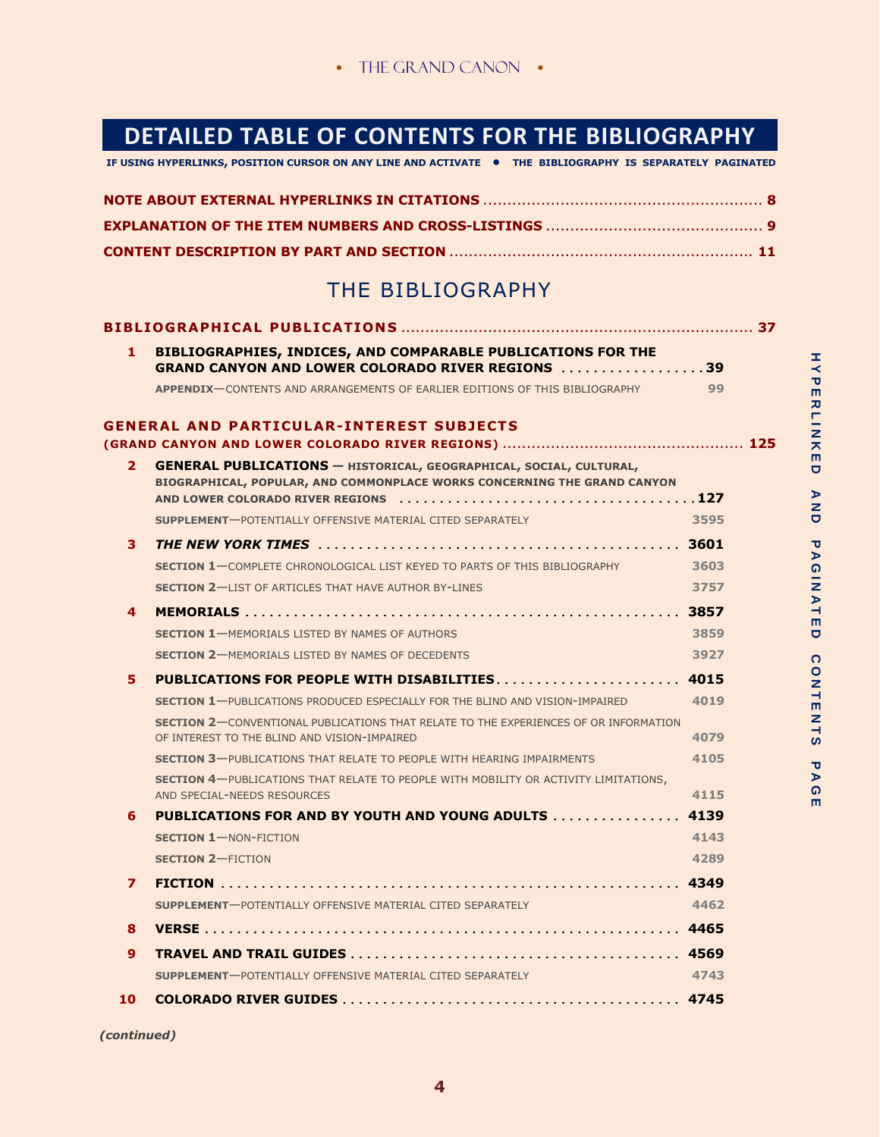## **DETAILED TABLE OF CONTENTS FOR THE BIBLIOGRAPHY**

**IF USING HYPERLINKS, POSITION CURSOR ON ANY LINE AND ACTIVATE • THE BIBLIOGRAPHY IS SEPARATELY PAGINATED**

| EXPLANATION OF THE ITEM NUMBERS AND CROSS-LISTINGS ………………………………………… 9 |  |
|-----------------------------------------------------------------------|--|
|                                                                       |  |

## THE BIBLIOGRAPHY

| 1.             | BIBLIOGRAPHIES, INDICES, AND COMPARABLE PUBLICATIONS FOR THE<br><b>GRAND CANYON AND LOWER COLORADO RIVER REGIONS 39</b>                               |      |
|----------------|-------------------------------------------------------------------------------------------------------------------------------------------------------|------|
|                | APPENDIX-CONTENTS AND ARRANGEMENTS OF EARLIER EDITIONS OF THIS BIBLIOGRAPHY 499                                                                       |      |
|                | <b>GENERAL AND PARTICULAR-INTEREST SUBJECTS</b>                                                                                                       |      |
| 2 <sup>1</sup> | <b>GENERAL PUBLICATIONS - HISTORICAL, GEOGRAPHICAL, SOCIAL, CULTURAL,</b><br>BIOGRAPHICAL, POPULAR, AND COMMONPLACE WORKS CONCERNING THE GRAND CANYON |      |
|                | <b>SUPPLEMENT-</b> POTENTIALLY OFFENSIVE MATERIAL CITED SEPARATELY                                                                                    | 3595 |
| 3              |                                                                                                                                                       |      |
|                | <b>SECTION 1-COMPLETE CHRONOLOGICAL LIST KEYED TO PARTS OF THIS BIBLIOGRAPHY</b>                                                                      | 3603 |
|                | <b>SECTION 2-LIST OF ARTICLES THAT HAVE AUTHOR BY-LINES</b>                                                                                           | 3757 |
| 4              |                                                                                                                                                       |      |
|                | <b>SECTION 1-MEMORIALS LISTED BY NAMES OF AUTHORS</b>                                                                                                 | 3859 |
|                | <b>SECTION 2-MEMORIALS LISTED BY NAMES OF DECEDENTS</b>                                                                                               | 3927 |
| 5.             | PUBLICATIONS FOR PEOPLE WITH DISABILITIES 4015                                                                                                        |      |
|                | $\sim$ 4019<br><b>SECTION 1-PUBLICATIONS PRODUCED ESPECIALLY FOR THE BLIND AND VISION-IMPAIRED</b>                                                    |      |
|                | <b>SECTION 2-CONVENTIONAL PUBLICATIONS THAT RELATE TO THE EXPERIENCES OF OR INFORMATION</b><br>OF INTEREST TO THE BLIND AND VISION-IMPAIRED           | 4079 |
|                | <b>SECTION 3-PUBLICATIONS THAT RELATE TO PEOPLE WITH HEARING IMPAIRMENTS</b>                                                                          | 4105 |
|                | <b>SECTION 4-PUBLICATIONS THAT RELATE TO PEOPLE WITH MOBILITY OR ACTIVITY LIMITATIONS,</b><br>AND SPECIAL-NEEDS RESOURCES                             | 4115 |
| 6.             | PUBLICATIONS FOR AND BY YOUTH AND YOUNG ADULTS  4139                                                                                                  |      |
|                | <b>SECTION 1-NON-FICTION</b>                                                                                                                          | 4143 |
|                | <b>SECTION 2-FICTION</b>                                                                                                                              | 4289 |
| 7              |                                                                                                                                                       |      |
|                | SUPPLEMENT-POTENTIALLY OFFENSIVE MATERIAL CITED SEPARATELY                                                                                            | 4462 |
| 8              |                                                                                                                                                       |      |
| 9              |                                                                                                                                                       |      |
|                | <b>SUPPLEMENT-POTENTIALLY OFFENSIVE MATERIAL CITED SEPARATELY</b>                                                                                     | 4743 |
| 10             |                                                                                                                                                       |      |

*(continued)*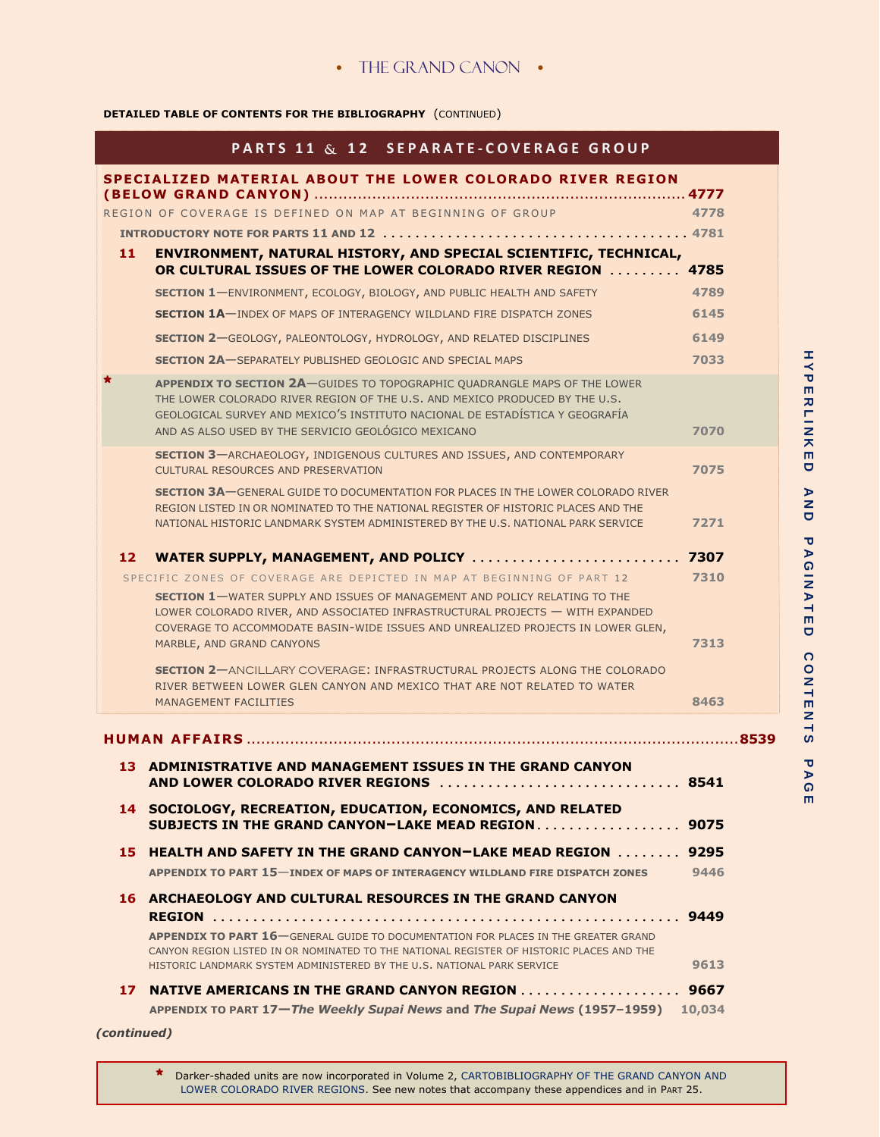## **DETAILED TABLE OF CONTENTS FOR THE BIBLIOGRAPHY** (CONTINUED)

|    | <b>PARTS 11 &amp; 12 SEPARATE-COVERAGE GROUP</b>                                                                                                                                                                                                                                                       |      |
|----|--------------------------------------------------------------------------------------------------------------------------------------------------------------------------------------------------------------------------------------------------------------------------------------------------------|------|
|    | SPECIALIZED MATERIAL ABOUT THE LOWER COLORADO RIVER REGION                                                                                                                                                                                                                                             |      |
|    | REGION OF COVERAGE IS DEFINED ON MAP AT BEGINNING OF GROUP                                                                                                                                                                                                                                             | 4778 |
|    |                                                                                                                                                                                                                                                                                                        |      |
| 11 | ENVIRONMENT, NATURAL HISTORY, AND SPECIAL SCIENTIFIC, TECHNICAL,                                                                                                                                                                                                                                       |      |
|    | OR CULTURAL ISSUES OF THE LOWER COLORADO RIVER REGION 4785                                                                                                                                                                                                                                             |      |
|    | <b>SECTION 1-ENVIRONMENT, ECOLOGY, BIOLOGY, AND PUBLIC HEALTH AND SAFETY</b>                                                                                                                                                                                                                           | 4789 |
|    | <b>SECTION 1A-INDEX OF MAPS OF INTERAGENCY WILDLAND FIRE DISPATCH ZONES</b>                                                                                                                                                                                                                            | 6145 |
|    | <b>SECTION 2-GEOLOGY, PALEONTOLOGY, HYDROLOGY, AND RELATED DISCIPLINES</b>                                                                                                                                                                                                                             | 6149 |
|    | <b>SECTION 2A-SEPARATELY PUBLISHED GEOLOGIC AND SPECIAL MAPS</b>                                                                                                                                                                                                                                       | 7033 |
|    | <b>APPENDIX TO SECTION 2A-GUIDES TO TOPOGRAPHIC QUADRANGLE MAPS OF THE LOWER</b><br>THE LOWER COLORADO RIVER REGION OF THE U.S. AND MEXICO PRODUCED BY THE U.S.<br>GEOLOGICAL SURVEY AND MEXICO'S INSTITUTO NACIONAL DE ESTADÍSTICA Y GEOGRAFÍA<br>AND AS ALSO USED BY THE SERVICIO GEOLÓGICO MEXICANO | 7070 |
|    | <b>SECTION 3-ARCHAEOLOGY, INDIGENOUS CULTURES AND ISSUES, AND CONTEMPORARY</b><br>CULTURAL RESOURCES AND PRESERVATION                                                                                                                                                                                  | 7075 |
|    | <b>SECTION 3A-GENERAL GUIDE TO DOCUMENTATION FOR PLACES IN THE LOWER COLORADO RIVER</b><br>REGION LISTED IN OR NOMINATED TO THE NATIONAL REGISTER OF HISTORIC PLACES AND THE<br>NATIONAL HISTORIC LANDMARK SYSTEM ADMINISTERED BY THE U.S. NATIONAL PARK SERVICE                                       | 7271 |
| 12 | WATER SUPPLY, MANAGEMENT, AND POLICY  7307                                                                                                                                                                                                                                                             |      |
|    | SPECIFIC ZONES OF COVERAGE ARE DEPICTED IN MAP AT BEGINNING OF PART 12                                                                                                                                                                                                                                 | 7310 |
|    | <b>SECTION 1-WATER SUPPLY AND ISSUES OF MANAGEMENT AND POLICY RELATING TO THE</b><br>LOWER COLORADO RIVER, AND ASSOCIATED INFRASTRUCTURAL PROJECTS - WITH EXPANDED<br>COVERAGE TO ACCOMMODATE BASIN-WIDE ISSUES AND UNREALIZED PROJECTS IN LOWER GLEN,<br>MARBLE, AND GRAND CANYONS                    | 7313 |
|    | <b>SECTION 2-ANCILLARY COVERAGE: INFRASTRUCTURAL PROJECTS ALONG THE COLORADO</b><br>RIVER BETWEEN LOWER GLEN CANYON AND MEXICO THAT ARE NOT RELATED TO WATER<br><b>MANAGEMENT FACILITIES</b>                                                                                                           | 8463 |
|    | <b>HUMAN AFFAIRS</b>                                                                                                                                                                                                                                                                                   |      |
|    | 13 ADMINISTRATIVE AND MANAGEMENT ISSUES IN THE GRAND CANYON<br>AND LOWER COLORADO RIVER REGIONS  8541                                                                                                                                                                                                  |      |
|    | 14 SOCIOLOGY, RECREATION, EDUCATION, ECONOMICS, AND RELATED<br>SUBJECTS IN THE GRAND CANYON-LAKE MEAD REGION 9075                                                                                                                                                                                      |      |
|    | 15 HEALTH AND SAFETY IN THE GRAND CANYON-LAKE MEAD REGION  9295                                                                                                                                                                                                                                        |      |
|    | <b>APPENDIX TO PART 15-INDEX OF MAPS OF INTERAGENCY WILDLAND FIRE DISPATCH ZONES</b>                                                                                                                                                                                                                   | 9446 |
|    | <b>16 ARCHAEOLOGY AND CULTURAL RESOURCES IN THE GRAND CANYON</b>                                                                                                                                                                                                                                       |      |
|    | <b>APPENDIX TO PART 16</b> GENERAL GUIDE TO DOCUMENTATION FOR PLACES IN THE GREATER GRAND<br>CANYON REGION LISTED IN OR NOMINATED TO THE NATIONAL REGISTER OF HISTORIC PLACES AND THE<br>HISTORIC LANDMARK SYSTEM ADMINISTERED BY THE U.S. NATIONAL PARK SERVICE                                       | 9613 |
|    |                                                                                                                                                                                                                                                                                                        |      |
|    | 17 NATIVE AMERICANS IN THE GRAND CANYON REGION 9667<br>APPENDIX TO PART 17-The Weekly Supai News and The Supai News (1957-1959) 10,034                                                                                                                                                                 |      |
|    |                                                                                                                                                                                                                                                                                                        |      |

**5** LOWER COLORADO RIVER REGIONS. See new notes that accompany these appendices and in PART 25. **\*** Darker-shaded units are now incorporated in Volume 2, CARTOBIBLIOGRAPHY OF THE GRAND CANYON AND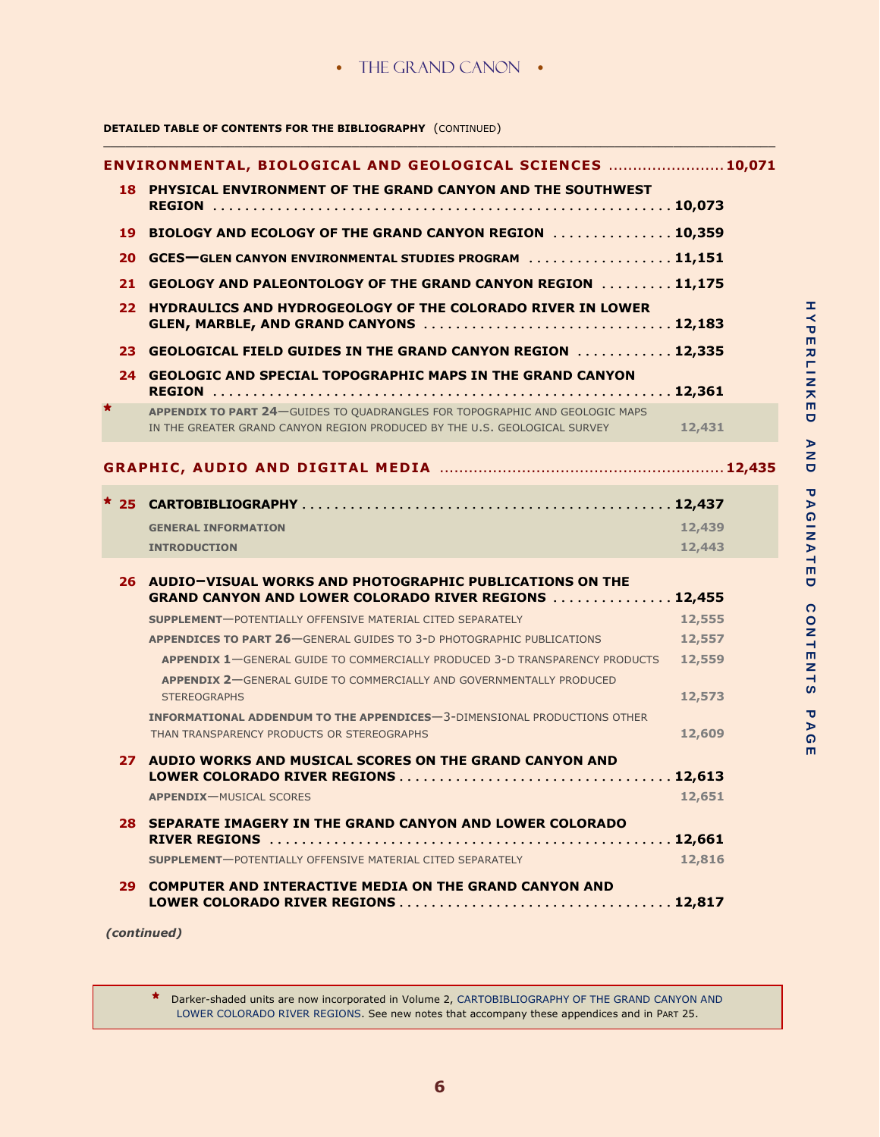\_\_\_\_\_\_\_\_\_\_\_\_\_\_\_\_\_\_\_\_\_\_\_\_\_\_\_\_\_\_\_\_\_\_\_\_\_\_\_\_\_\_\_\_\_\_\_\_\_\_\_\_\_\_\_\_\_\_\_\_\_\_\_\_\_\_\_\_\_\_\_\_\_\_\_\_\_\_\_\_\_\_\_\_\_\_\_\_\_\_\_\_

## **DETAILED TABLE OF CONTENTS FOR THE BIBLIOGRAPHY** (CONTINUED)

|        | ENVIRONMENTAL, BIOLOGICAL AND GEOLOGICAL SCIENCES  10,071                                                                                                |        |
|--------|----------------------------------------------------------------------------------------------------------------------------------------------------------|--------|
|        | 18 PHYSICAL ENVIRONMENT OF THE GRAND CANYON AND THE SOUTHWEST                                                                                            |        |
|        | 19 BIOLOGY AND ECOLOGY OF THE GRAND CANYON REGION  10,359                                                                                                |        |
| 20.    | GCES-GLEN CANYON ENVIRONMENTAL STUDIES PROGRAM  11,151                                                                                                   |        |
| 21     | <b>GEOLOGY AND PALEONTOLOGY OF THE GRAND CANYON REGION 11,175</b>                                                                                        |        |
| 22     | <b>HYDRAULICS AND HYDROGEOLOGY OF THE COLORADO RIVER IN LOWER</b><br>GLEN, MARBLE, AND GRAND CANYONS  12,183                                             |        |
|        | 23 GEOLOGICAL FIELD GUIDES IN THE GRAND CANYON REGION  12,335                                                                                            |        |
|        | 24 GEOLOGIC AND SPECIAL TOPOGRAPHIC MAPS IN THE GRAND CANYON                                                                                             |        |
|        | APPENDIX TO PART 24-GUIDES TO QUADRANGLES FOR TOPOGRAPHIC AND GEOLOGIC MAPS<br>IN THE GREATER GRAND CANYON REGION PRODUCED BY THE U.S. GEOLOGICAL SURVEY | 12,431 |
|        |                                                                                                                                                          |        |
| $*$ 25 |                                                                                                                                                          |        |
|        | <b>GENERAL INFORMATION</b>                                                                                                                               | 12,439 |
|        | <b>INTRODUCTION</b>                                                                                                                                      | 12,443 |
|        | 26 AUDIO-VISUAL WORKS AND PHOTOGRAPHIC PUBLICATIONS ON THE<br><b>GRAND CANYON AND LOWER COLORADO RIVER REGIONS  12,455</b>                               |        |
|        | <b>SUPPLEMENT-POTENTIALLY OFFENSIVE MATERIAL CITED SEPARATELY</b>                                                                                        | 12,555 |
|        | <b>APPENDICES TO PART 26-GENERAL GUIDES TO 3-D PHOTOGRAPHIC PUBLICATIONS</b>                                                                             | 12,557 |
|        | APPENDIX 1-GENERAL GUIDE TO COMMERCIALLY PRODUCED 3-D TRANSPARENCY PRODUCTS<br>APPENDIX 2-GENERAL GUIDE TO COMMERCIALLY AND GOVERNMENTALLY PRODUCED      | 12,559 |
|        | <b>STEREOGRAPHS</b>                                                                                                                                      | 12,573 |
|        | INFORMATIONAL ADDENDUM TO THE APPENDICES-3-DIMENSIONAL PRODUCTIONS OTHER<br>THAN TRANSPARENCY PRODUCTS OR STEREOGRAPHS                                   | 12,609 |
|        | 27 AUDIO WORKS AND MUSICAL SCORES ON THE GRAND CANYON AND                                                                                                |        |
|        |                                                                                                                                                          |        |
|        | APPENDIX-MUSICAL SCORES                                                                                                                                  | 12,651 |
|        | 28 SEPARATE IMAGERY IN THE GRAND CANYON AND LOWER COLORADO                                                                                               |        |
|        | <b>SUPPLEMENT-POTENTIALLY OFFENSIVE MATERIAL CITED SEPARATELY</b>                                                                                        | 12,816 |
|        | 29 COMPUTER AND INTERACTIVE MEDIA ON THE GRAND CANYON AND                                                                                                |        |

*(continued)*

**\*** Darker-shaded units are now incorporated in Volume 2, CARTOBIBLIOGRAPHY OF THE GRAND CANYON AND LOWER COLORADO RIVER REGIONS. See new notes that accompany these appendices and in PART 25.